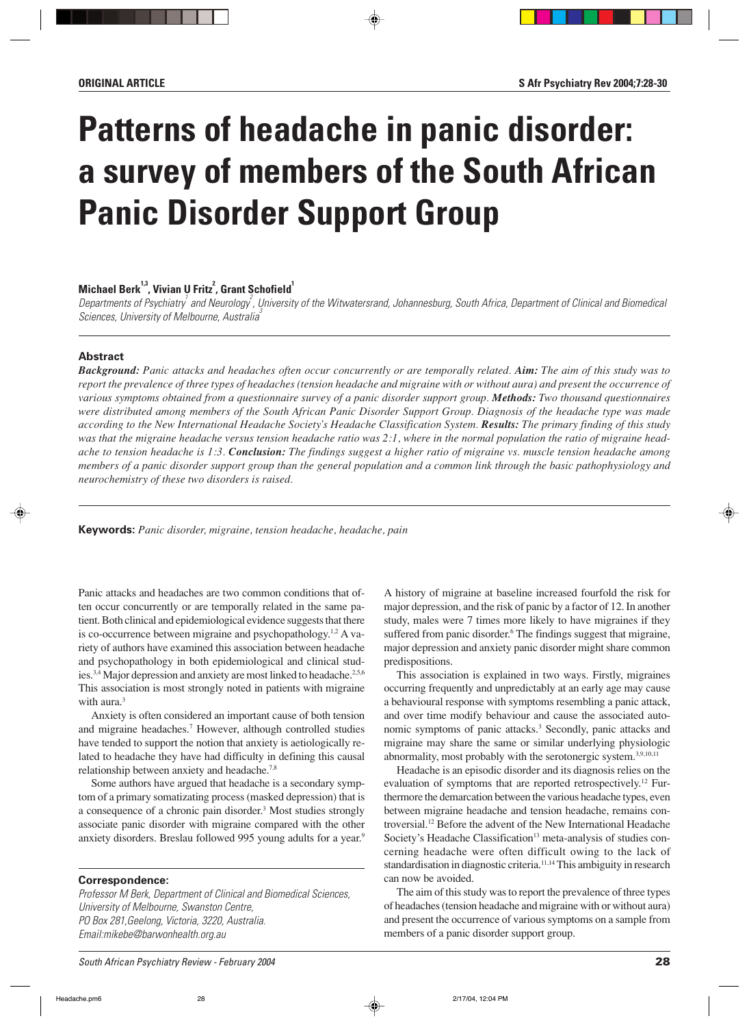# **Patterns of headache in panic disorder: a survey of members of the South African Panic Disorder Support Group**

## **Michael Berk<sup>1,3</sup>, Vivian U Fritz<sup>2</sup>, Grant Schofield<sup>1</sup>**

Departments of Psychiatry  $^\prime$  and Neurology  $^\prime$ , University of the Witwatersrand, Johannesburg, South Africa, Department of Clinical and Biomedical Sciences, University of Melbourne, Australia

## **Abstract**

*Background: Panic attacks and headaches often occur concurrently or are temporally related. Aim: The aim of this study was to report the prevalence of three types of headaches (tension headache and migraine with or without aura) and present the occurrence of various symptoms obtained from a questionnaire survey of a panic disorder support group. Methods: Two thousand questionnaires were distributed among members of the South African Panic Disorder Support Group. Diagnosis of the headache type was made according to the New International Headache Society's Headache Classification System. Results: The primary finding of this study was that the migraine headache versus tension headache ratio was 2:1, where in the normal population the ratio of migraine headache to tension headache is 1:3. Conclusion: The findings suggest a higher ratio of migraine vs. muscle tension headache among members of a panic disorder support group than the general population and a common link through the basic pathophysiology and neurochemistry of these two disorders is raised.*

**Keywords:** *Panic disorder, migraine, tension headache, headache, pain*

Panic attacks and headaches are two common conditions that often occur concurrently or are temporally related in the same patient. Both clinical and epidemiological evidence suggests that there is co-occurrence between migraine and psychopathology.<sup>1,2</sup> A variety of authors have examined this association between headache and psychopathology in both epidemiological and clinical studies.<sup>3,4</sup> Major depression and anxiety are most linked to headache.<sup>2,5,6</sup> This association is most strongly noted in patients with migraine with aura.<sup>3</sup>

Anxiety is often considered an important cause of both tension and migraine headaches.<sup>7</sup> However, although controlled studies have tended to support the notion that anxiety is aetiologically related to headache they have had difficulty in defining this causal relationship between anxiety and headache.7,8

Some authors have argued that headache is a secondary symptom of a primary somatizating process (masked depression) that is a consequence of a chronic pain disorder.<sup>3</sup> Most studies strongly associate panic disorder with migraine compared with the other anxiety disorders. Breslau followed 995 young adults for a year.<sup>9</sup>

#### **Correspondence:**

Professor M Berk, Department of Clinical and Biomedical Sciences, University of Melbourne, Swanston Centre, PO Box 281,Geelong, Victoria, 3220, Australia. Email:mikebe@barwonhealth.org.au

A history of migraine at baseline increased fourfold the risk for major depression, and the risk of panic by a factor of 12. In another study, males were 7 times more likely to have migraines if they suffered from panic disorder.<sup>6</sup> The findings suggest that migraine, major depression and anxiety panic disorder might share common predispositions.

This association is explained in two ways. Firstly, migraines occurring frequently and unpredictably at an early age may cause a behavioural response with symptoms resembling a panic attack, and over time modify behaviour and cause the associated autonomic symptoms of panic attacks.3 Secondly, panic attacks and migraine may share the same or similar underlying physiologic abnormality, most probably with the serotonergic system.3,9,10,11

Headache is an episodic disorder and its diagnosis relies on the evaluation of symptoms that are reported retrospectively.12 Furthermore the demarcation between the various headache types, even between migraine headache and tension headache, remains controversial.12 Before the advent of the New International Headache Society's Headache Classification<sup>13</sup> meta-analysis of studies concerning headache were often difficult owing to the lack of standardisation in diagnostic criteria.<sup>11,14</sup>This ambiguity in research can now be avoided.

The aim of this study was to report the prevalence of three types of headaches (tension headache and migraine with or without aura) and present the occurrence of various symptoms on a sample from members of a panic disorder support group.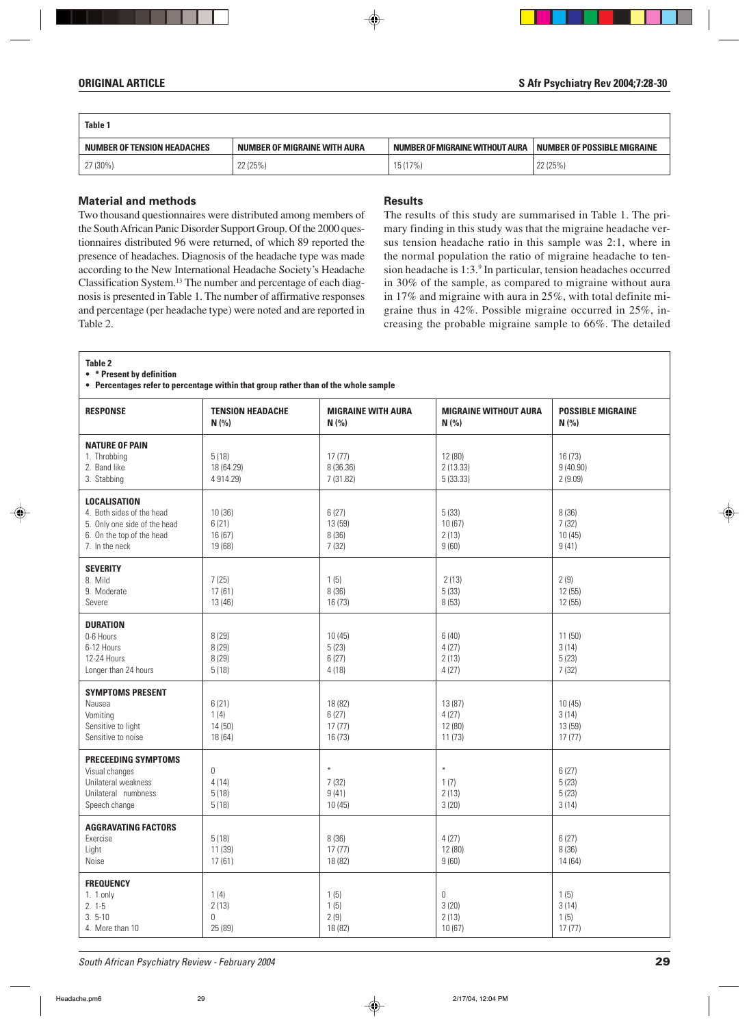| Table 1                     |                              |                                 |                             |  |  |  |
|-----------------------------|------------------------------|---------------------------------|-----------------------------|--|--|--|
| NUMBER OF TENSION HEADACHES | NUMBER OF MIGRAINE WITH AURA | NUMBER OF MIGRAINE WITHOUT AURA | NUMBER OF POSSIBLE MIGRAINE |  |  |  |
| 27 (30%)                    | 22 (25%)                     | 15 (17%)                        | 22 (25%)                    |  |  |  |

## **Material and methods**

Two thousand questionnaires were distributed among members of the South African Panic Disorder Support Group. Of the 2000 questionnaires distributed 96 were returned, of which 89 reported the presence of headaches. Diagnosis of the headache type was made according to the New International Headache Society's Headache Classification System.13 The number and percentage of each diagnosis is presented in Table 1. The number of affirmative responses and percentage (per headache type) were noted and are reported in Table 2.

### **Results**

The results of this study are summarised in Table 1. The primary finding in this study was that the migraine headache versus tension headache ratio in this sample was 2:1, where in the normal population the ratio of migraine headache to tension headache is 1:3.9 In particular, tension headaches occurred in 30% of the sample, as compared to migraine without aura in 17% and migraine with aura in 25%, with total definite migraine thus in 42%. Possible migraine occurred in 25%, increasing the probable migraine sample to 66%. The detailed

| Table 2<br>• * Present by definition<br>• Percentages refer to percentage within that group rather than of the whole sample     |                                      |                                       |                                       |                                      |  |
|---------------------------------------------------------------------------------------------------------------------------------|--------------------------------------|---------------------------------------|---------------------------------------|--------------------------------------|--|
| <b>RESPONSE</b>                                                                                                                 | <b>TENSION HEADACHE</b><br>N(% )     | <b>MIGRAINE WITH AURA</b><br>N(% )    | <b>MIGRAINE WITHOUT AURA</b><br>N(% ) | <b>POSSIBLE MIGRAINE</b><br>N(%      |  |
| <b>NATURE OF PAIN</b><br>1. Throbbing<br>2. Band like<br>3. Stabbing                                                            | 5(18)<br>18 (64.29)<br>4 914.29)     | 17(77)<br>8 (36.36)<br>7 (31.82)      | 12 (80)<br>2(13.33)<br>5(33.33)       | 16(73)<br>9(40.90)<br>2(9.09)        |  |
| <b>LOCALISATION</b><br>4. Both sides of the head<br>5. Only one side of the head<br>6. On the top of the head<br>7. In the neck | 10(36)<br>6(21)<br>16(67)<br>19 (68) | 6(27)<br>13 (59)<br>8(36)<br>7(32)    | 5(33)<br>10(67)<br>2(13)<br>9(60)     | 8(36)<br>7(32)<br>10(45)<br>9(41)    |  |
| <b>SEVERITY</b><br>8. Mild<br>9. Moderate<br>Severe                                                                             | 7(25)<br>17(61)<br>13 (46)           | 1(5)<br>8(36)<br>16(73)               | 2(13)<br>5(33)<br>8(53)               | 2(9)<br>12(55)<br>12 (55)            |  |
| <b>DURATION</b><br>0-6 Hours<br>6-12 Hours<br>12-24 Hours<br>Longer than 24 hours                                               | 8(29)<br>8(29)<br>8 (29)<br>5(18)    | 10(45)<br>5(23)<br>6(27)<br>4(18)     | 6(40)<br>4(27)<br>2(13)<br>4(27)      | 11(50)<br>3(14)<br>5(23)<br>7(32)    |  |
| <b>SYMPTOMS PRESENT</b><br>Nausea<br>Vomiting<br>Sensitive to light<br>Sensitive to noise                                       | 6(21)<br>1(4)<br>14 (50)<br>18 (64)  | 18 (82)<br>6(27)<br>17(77)<br>16 (73) | 13 (87)<br>4(27)<br>12 (80)<br>11(73) | 10(45)<br>3(14)<br>13 (59)<br>17(77) |  |
| <b>PRECEEDING SYMPTOMS</b><br>Visual changes<br>Unilateral weakness<br>Unilateral numbness<br>Speech change                     | 0<br>4(14)<br>5(18)<br>5(18)         | $\ast$<br>7(32)<br>9(41)<br>10(45)    | $\ast$<br>1(7)<br>2(13)<br>3(20)      | 6(27)<br>5(23)<br>5(23)<br>3(14)     |  |
| <b>AGGRAVATING FACTORS</b><br>Exercise<br>Light<br>Noise                                                                        | 5(18)<br>11 (39)<br>17(61)           | 8(36)<br>17(77)<br>18 (82)            | 4(27)<br>12 (80)<br>9(60)             | 6(27)<br>8(36)<br>14 (64)            |  |
| <b>FREQUENCY</b><br>1. $1$ only<br>$2.1-5$<br>$3.5 - 10$<br>4. More than 10                                                     | 1(4)<br>2(13)<br>0<br>25 (89)        | 1(5)<br>1(5)<br>2(9)<br>18 (82)       | 0<br>3(20)<br>2(13)<br>10(67)         | 1(5)<br>3(14)<br>1(5)<br>17(77)      |  |